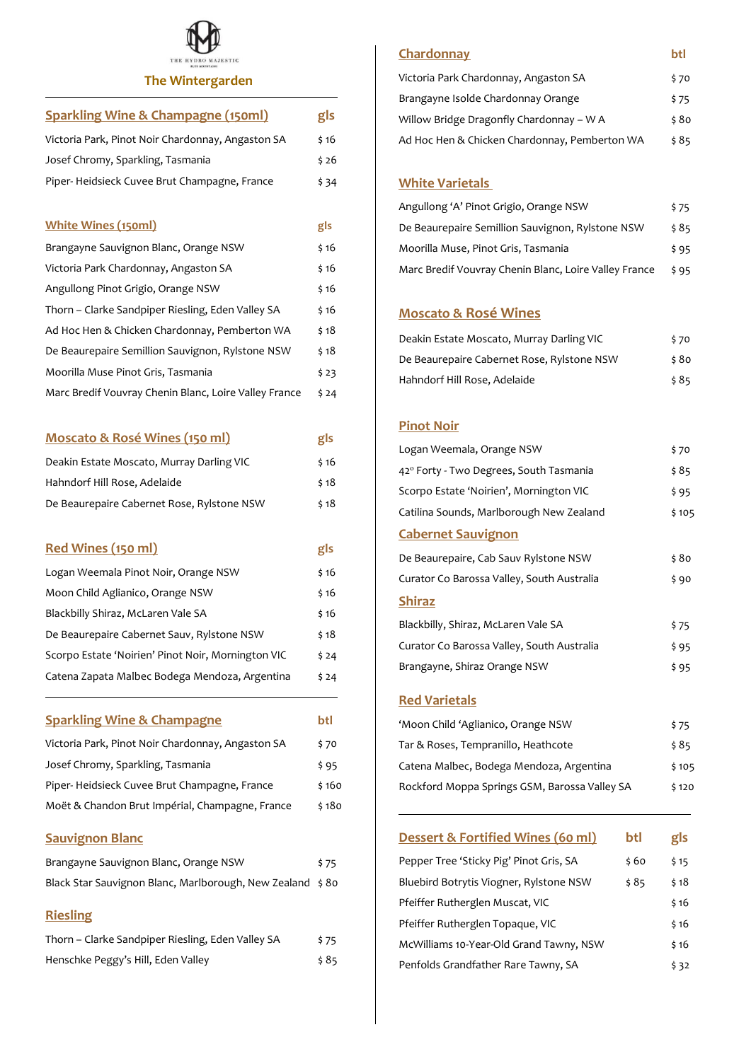

| <b>The Wintergarden</b>                               |        |
|-------------------------------------------------------|--------|
| <b>Sparkling Wine &amp; Champagne (150ml)</b>         | gls    |
| Victoria Park, Pinot Noir Chardonnay, Angaston SA     | \$16   |
| Josef Chromy, Sparkling, Tasmania                     | \$26   |
| Piper-Heidsieck Cuvee Brut Champagne, France          | \$34   |
| <b>White Wines (150ml)</b>                            | gls    |
| Brangayne Sauvignon Blanc, Orange NSW                 | \$ 16  |
| Victoria Park Chardonnay, Angaston SA                 | \$ 16  |
| Angullong Pinot Grigio, Orange NSW                    | \$ 16  |
| Thorn - Clarke Sandpiper Riesling, Eden Valley SA     | \$ 16  |
| Ad Hoc Hen & Chicken Chardonnay, Pemberton WA         | \$18   |
| De Beaurepaire Semillion Sauvignon, Rylstone NSW      | \$18   |
| Moorilla Muse Pinot Gris, Tasmania                    | \$ 23  |
| Marc Bredif Vouvray Chenin Blanc, Loire Valley France | \$ 24  |
| <b>Moscato &amp; Rosé Wines (150 ml)</b>              | gls    |
| Deakin Estate Moscato, Murray Darling VIC             | \$ 16  |
| Hahndorf Hill Rose, Adelaide                          | \$18   |
| De Beaurepaire Cabernet Rose, Rylstone NSW            | \$ 18  |
| Red Wines (150 ml)                                    | gls    |
| Logan Weemala Pinot Noir, Orange NSW                  | \$16   |
| Moon Child Aglianico, Orange NSW                      | \$ 16  |
| Blackbilly Shiraz, McLaren Vale SA                    | \$ 16  |
| De Beaurepaire Cabernet Sauv, Rylstone NSW            | \$18   |
| Scorpo Estate 'Noirien' Pinot Noir, Mornington VIC    | \$ 24  |
| Catena Zapata Malbec Bodega Mendoza, Argentina        | \$ 24  |
| <b>Sparkling Wine &amp; Champagne</b>                 | btl    |
| Victoria Park, Pinot Noir Chardonnay, Angaston SA     | \$ 70  |
| Josef Chromy, Sparkling, Tasmania                     | \$ 95  |
| Piper-Heidsieck Cuvee Brut Champagne, France          | \$ 160 |
| Moët & Chandon Brut Impérial, Champagne, France       | \$180  |
| <b>Sauvignon Blanc</b>                                |        |

| Brangayne Sauvignon Blanc, Orange NSW                     | \$75 |
|-----------------------------------------------------------|------|
| Black Star Sauvignon Blanc, Marlborough, New Zealand \$80 |      |

# **Riesling**

| Thorn – Clarke Sandpiper Riesling, Eden Valley SA | \$75 |
|---------------------------------------------------|------|
| Henschke Peggy's Hill, Eden Valley                | \$85 |

#### **Chardonnay btl**

| Victoria Park Chardonnay, Angaston SA         | \$70  |
|-----------------------------------------------|-------|
| Brangayne Isolde Chardonnay Orange            | \$75  |
| Willow Bridge Dragonfly Chardonnay – W A      | \$ 80 |
| Ad Hoc Hen & Chicken Chardonnay, Pemberton WA | \$85  |

#### **White Varietals**

| Angullong 'A' Pinot Grigio, Orange NSW                | \$75 |
|-------------------------------------------------------|------|
| De Beaurepaire Semillion Sauvignon, Rylstone NSW      | \$85 |
| Moorilla Muse, Pinot Gris, Tasmania                   | \$95 |
| Marc Bredif Vouvray Chenin Blanc, Loire Valley France | \$95 |

## **Moscato & Rosé Wines**

| Deakin Estate Moscato, Murray Darling VIC  | \$70  |
|--------------------------------------------|-------|
| De Beaurepaire Cabernet Rose, Rylstone NSW | \$ 80 |
| Hahndorf Hill Rose, Adelaide               | \$85  |

### **Pinot Noir**

| Logan Weemala, Orange NSW                  | \$70  |
|--------------------------------------------|-------|
| 42° Forty - Two Degrees, South Tasmania    | \$ 85 |
| Scorpo Estate 'Noirien', Mornington VIC    | \$95  |
| Catilina Sounds, Marlborough New Zealand   | \$105 |
| <b>Cabernet Sauvignon</b>                  |       |
| De Beaurepaire, Cab Sauv Rylstone NSW      | \$ 80 |
| Curator Co Barossa Valley, South Australia | \$90  |
| <b>Shiraz</b>                              |       |
| Blackbilly, Shiraz, McLaren Vale SA        | \$75  |
| Curator Co Barossa Valley, South Australia | \$95  |
| Brangayne, Shiraz Orange NSW               | \$95  |
| <b>Red Varietals</b>                       |       |
| 'Moon Child 'Aglianico, Orange NSW         | \$75  |
| Tar & Roses, Tempranillo, Heathcote        | \$ 85 |
| Catena Malbec, Bodega Mendoza, Argentina   | \$105 |

| Rockford Moppa Springs GSM, Barossa Valley SA |       | \$120 |
|-----------------------------------------------|-------|-------|
| Dessert & Fortified Wines (60 ml)             | btl   | gls   |
| Pepper Tree 'Sticky Pig' Pinot Gris, SA       | \$ 60 | \$15  |
| Bluebird Botrytis Viogner, Rylstone NSW       | \$ 85 | \$18  |
| Pfeiffer Rutherglen Muscat, VIC               |       | \$16  |
| Pfeiffer Rutherglen Topaque, VIC              |       | \$16  |
| McWilliams 10-Year-Old Grand Tawny, NSW       |       | \$16  |

Penfolds Grandfather Rare Tawny, SA  $\frac{1}{32}$